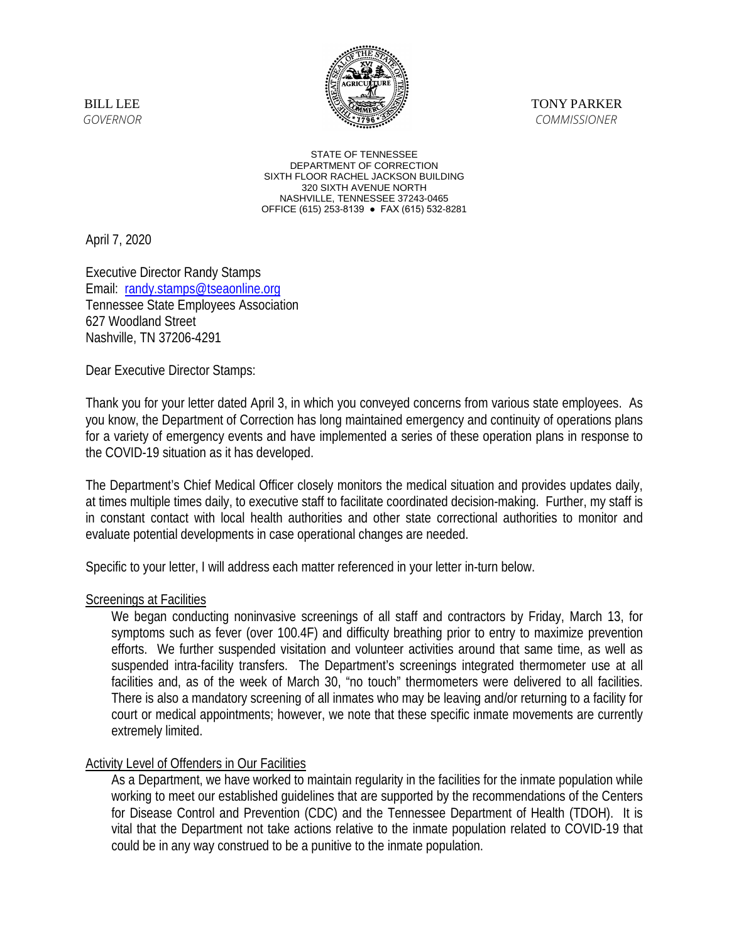

STATE OF TENNESSEE DEPARTMENT OF CORRECTION SIXTH FLOOR RACHEL JACKSON BUILDING 320 SIXTH AVENUE NORTH NASHVILLE, TENNESSEE 37243-0465 OFFICE (615) 253-8139 ● FAX (615) 532-8281

April 7, 2020

Executive Director Randy Stamps Email: [randy.stamps@tseaonline.org](mailto:randy.stamps@tseaonline.org) Tennessee State Employees Association 627 Woodland Street Nashville, TN 37206-4291

Dear Executive Director Stamps:

Thank you for your letter dated April 3, in which you conveyed concerns from various state employees. As you know, the Department of Correction has long maintained emergency and continuity of operations plans for a variety of emergency events and have implemented a series of these operation plans in response to the COVID-19 situation as it has developed.

The Department's Chief Medical Officer closely monitors the medical situation and provides updates daily, at times multiple times daily, to executive staff to facilitate coordinated decision-making. Further, my staff is in constant contact with local health authorities and other state correctional authorities to monitor and evaluate potential developments in case operational changes are needed.

Specific to your letter, I will address each matter referenced in your letter in-turn below.

## Screenings at Facilities

We began conducting noninvasive screenings of all staff and contractors by Friday, March 13, for symptoms such as fever (over 100.4F) and difficulty breathing prior to entry to maximize prevention efforts. We further suspended visitation and volunteer activities around that same time, as well as suspended intra-facility transfers. The Department's screenings integrated thermometer use at all facilities and, as of the week of March 30, "no touch" thermometers were delivered to all facilities. There is also a mandatory screening of all inmates who may be leaving and/or returning to a facility for court or medical appointments; however, we note that these specific inmate movements are currently extremely limited.

## **Activity Level of Offenders in Our Facilities**

As a Department, we have worked to maintain regularity in the facilities for the inmate population while working to meet our established guidelines that are supported by the recommendations of the Centers for Disease Control and Prevention (CDC) and the Tennessee Department of Health (TDOH). It is vital that the Department not take actions relative to the inmate population related to COVID-19 that could be in any way construed to be a punitive to the inmate population.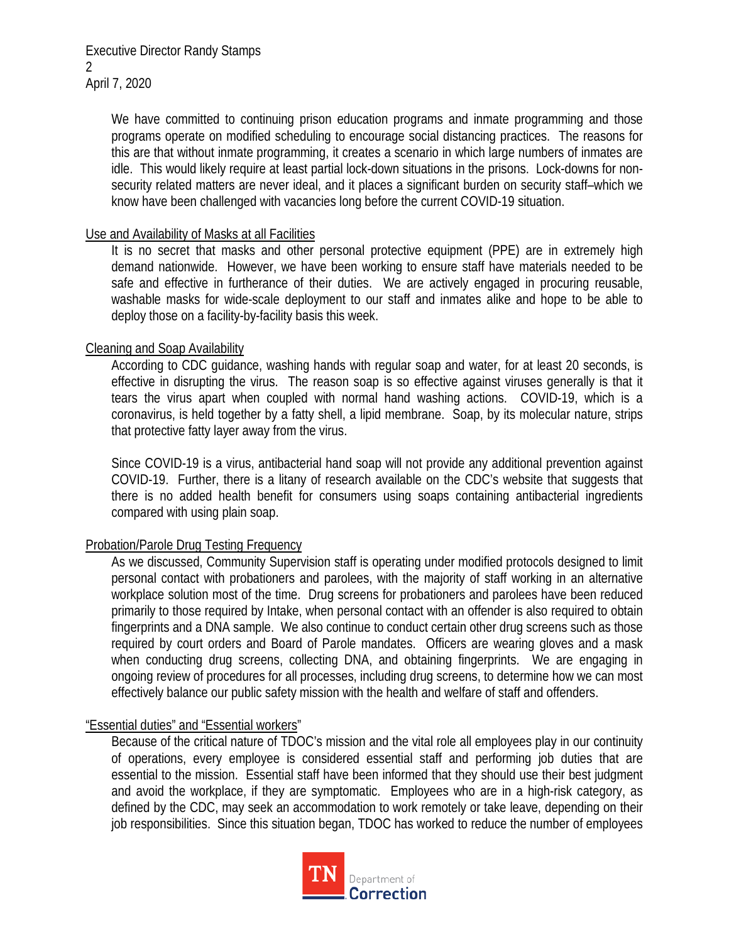Executive Director Randy Stamps  $\mathfrak{D}$ April 7, 2020

> We have committed to continuing prison education programs and inmate programming and those programs operate on modified scheduling to encourage social distancing practices. The reasons for this are that without inmate programming, it creates a scenario in which large numbers of inmates are idle. This would likely require at least partial lock-down situations in the prisons. Lock-downs for nonsecurity related matters are never ideal, and it places a significant burden on security staff–which we know have been challenged with vacancies long before the current COVID-19 situation.

## Use and Availability of Masks at all Facilities

It is no secret that masks and other personal protective equipment (PPE) are in extremely high demand nationwide. However, we have been working to ensure staff have materials needed to be safe and effective in furtherance of their duties. We are actively engaged in procuring reusable, washable masks for wide-scale deployment to our staff and inmates alike and hope to be able to deploy those on a facility-by-facility basis this week.

# Cleaning and Soap Availability

According to CDC guidance, washing hands with regular soap and water, for at least 20 seconds, is effective in disrupting the virus. The reason soap is so effective against viruses generally is that it tears the virus apart when coupled with normal hand washing actions. COVID-19, which is a coronavirus, is held together by a fatty shell, a lipid membrane. Soap, by its molecular nature, strips that protective fatty layer away from the virus.

Since COVID-19 is a virus, antibacterial hand soap will not provide any additional prevention against COVID-19. Further, there is a litany of research available on the CDC's website that suggests that there is no added health benefit for consumers using soaps containing antibacterial ingredients compared with using plain soap.

## Probation/Parole Drug Testing Frequency

As we discussed, Community Supervision staff is operating under modified protocols designed to limit personal contact with probationers and parolees, with the majority of staff working in an alternative workplace solution most of the time. Drug screens for probationers and parolees have been reduced primarily to those required by Intake, when personal contact with an offender is also required to obtain fingerprints and a DNA sample. We also continue to conduct certain other drug screens such as those required by court orders and Board of Parole mandates. Officers are wearing gloves and a mask when conducting drug screens, collecting DNA, and obtaining fingerprints. We are engaging in ongoing review of procedures for all processes, including drug screens, to determine how we can most effectively balance our public safety mission with the health and welfare of staff and offenders.

## "Essential duties" and "Essential workers"

Because of the critical nature of TDOC's mission and the vital role all employees play in our continuity of operations, every employee is considered essential staff and performing job duties that are essential to the mission. Essential staff have been informed that they should use their best judgment and avoid the workplace, if they are symptomatic. Employees who are in a high-risk category, as defined by the CDC, may seek an accommodation to work remotely or take leave, depending on their job responsibilities. Since this situation began, TDOC has worked to reduce the number of employees